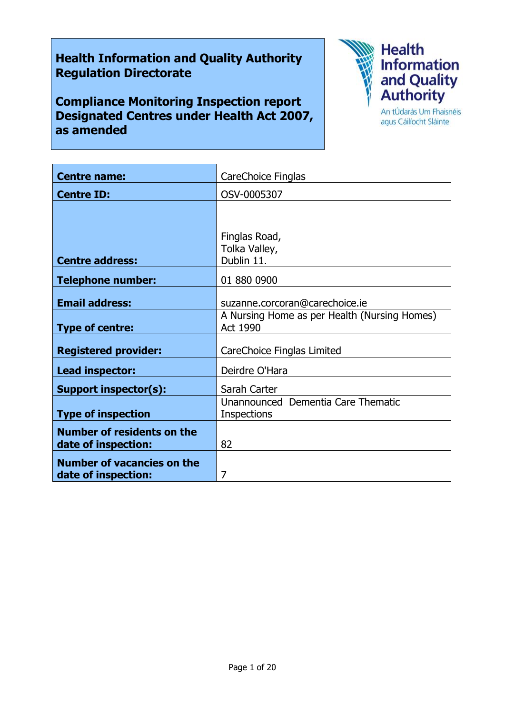# **Health Information and Quality Authority Regulation Directorate**

**Compliance Monitoring Inspection report Designated Centres under Health Act 2007, as amended**



agus Cáilíocht Sláinte

| <b>Centre name:</b>               | CareChoice Finglas                                       |
|-----------------------------------|----------------------------------------------------------|
| <b>Centre ID:</b>                 | OSV-0005307                                              |
|                                   |                                                          |
|                                   |                                                          |
|                                   | Finglas Road,<br>Tolka Valley,                           |
| <b>Centre address:</b>            | Dublin 11.                                               |
| <b>Telephone number:</b>          | 01 880 0900                                              |
| <b>Email address:</b>             | suzanne.corcoran@carechoice.ie                           |
| <b>Type of centre:</b>            | A Nursing Home as per Health (Nursing Homes)<br>Act 1990 |
| <b>Registered provider:</b>       | CareChoice Finglas Limited                               |
| Lead inspector:                   | Deirdre O'Hara                                           |
| Support inspector(s):             | Sarah Carter                                             |
|                                   | Unannounced Dementia Care Thematic                       |
| <b>Type of inspection</b>         | <b>Inspections</b>                                       |
| <b>Number of residents on the</b> |                                                          |
| date of inspection:               | 82                                                       |
| <b>Number of vacancies on the</b> |                                                          |
| date of inspection:               | 7                                                        |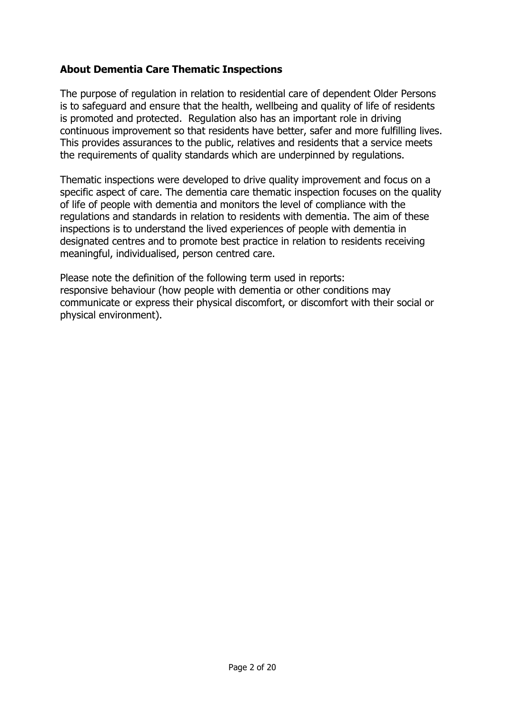# **About Dementia Care Thematic Inspections**

The purpose of regulation in relation to residential care of dependent Older Persons is to safeguard and ensure that the health, wellbeing and quality of life of residents is promoted and protected. Regulation also has an important role in driving continuous improvement so that residents have better, safer and more fulfilling lives. This provides assurances to the public, relatives and residents that a service meets the requirements of quality standards which are underpinned by regulations.

Thematic inspections were developed to drive quality improvement and focus on a specific aspect of care. The dementia care thematic inspection focuses on the quality of life of people with dementia and monitors the level of compliance with the regulations and standards in relation to residents with dementia. The aim of these inspections is to understand the lived experiences of people with dementia in designated centres and to promote best practice in relation to residents receiving meaningful, individualised, person centred care.

Please note the definition of the following term used in reports: responsive behaviour (how people with dementia or other conditions may communicate or express their physical discomfort, or discomfort with their social or physical environment).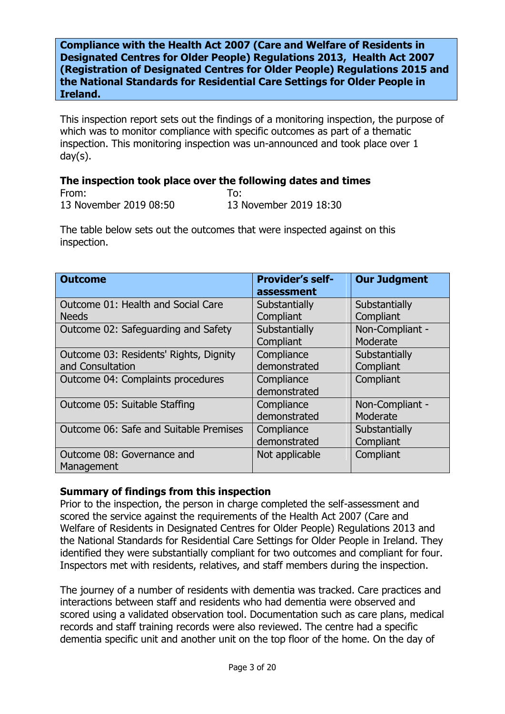**Compliance with the Health Act 2007 (Care and Welfare of Residents in Designated Centres for Older People) Regulations 2013, Health Act 2007 (Registration of Designated Centres for Older People) Regulations 2015 and the National Standards for Residential Care Settings for Older People in Ireland.**

This inspection report sets out the findings of a monitoring inspection, the purpose of which was to monitor compliance with specific outcomes as part of a thematic inspection. This monitoring inspection was un-announced and took place over 1 day(s).

### **The inspection took place over the following dates and times**

From: To: 13 November 2019 08:50 13 November 2019 18:30

The table below sets out the outcomes that were inspected against on this inspection.

| <b>Outcome</b>                         | <b>Provider's self-</b><br>assessment | <b>Our Judgment</b> |
|----------------------------------------|---------------------------------------|---------------------|
| Outcome 01: Health and Social Care     | Substantially                         | Substantially       |
| <b>Needs</b>                           | Compliant                             | Compliant           |
| Outcome 02: Safeguarding and Safety    | Substantially                         | Non-Compliant -     |
|                                        | Compliant                             | Moderate            |
| Outcome 03: Residents' Rights, Dignity | Compliance                            | Substantially       |
| and Consultation                       | demonstrated                          | Compliant           |
| Outcome 04: Complaints procedures      | Compliance                            | Compliant           |
|                                        | demonstrated                          |                     |
| Outcome 05: Suitable Staffing          | Compliance                            | Non-Compliant -     |
|                                        | demonstrated                          | Moderate            |
| Outcome 06: Safe and Suitable Premises | Compliance                            | Substantially       |
|                                        | demonstrated                          | Compliant           |
| Outcome 08: Governance and             | Not applicable                        | Compliant           |
| Management                             |                                       |                     |

### **Summary of findings from this inspection**

Prior to the inspection, the person in charge completed the self-assessment and scored the service against the requirements of the Health Act 2007 (Care and Welfare of Residents in Designated Centres for Older People) Regulations 2013 and the National Standards for Residential Care Settings for Older People in Ireland. They identified they were substantially compliant for two outcomes and compliant for four. Inspectors met with residents, relatives, and staff members during the inspection.

The journey of a number of residents with dementia was tracked. Care practices and interactions between staff and residents who had dementia were observed and scored using a validated observation tool. Documentation such as care plans, medical records and staff training records were also reviewed. The centre had a specific dementia specific unit and another unit on the top floor of the home. On the day of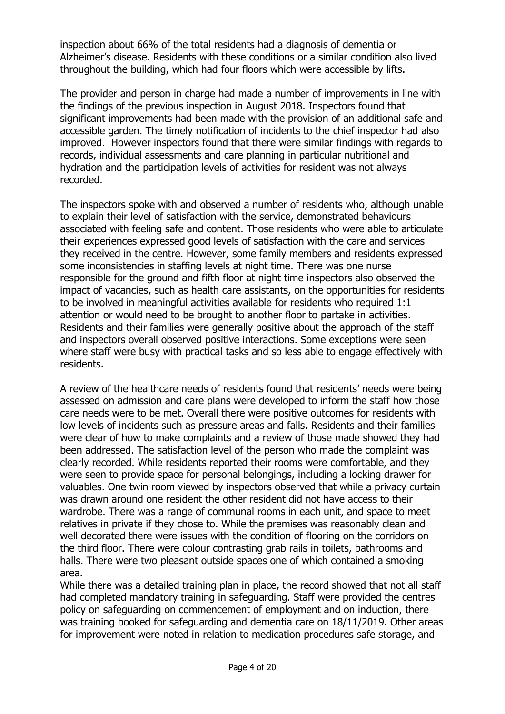inspection about 66% of the total residents had a diagnosis of dementia or Alzheimer's disease. Residents with these conditions or a similar condition also lived throughout the building, which had four floors which were accessible by lifts.

The provider and person in charge had made a number of improvements in line with the findings of the previous inspection in August 2018. Inspectors found that significant improvements had been made with the provision of an additional safe and accessible garden. The timely notification of incidents to the chief inspector had also improved. However inspectors found that there were similar findings with regards to records, individual assessments and care planning in particular nutritional and hydration and the participation levels of activities for resident was not always recorded.

The inspectors spoke with and observed a number of residents who, although unable to explain their level of satisfaction with the service, demonstrated behaviours associated with feeling safe and content. Those residents who were able to articulate their experiences expressed good levels of satisfaction with the care and services they received in the centre. However, some family members and residents expressed some inconsistencies in staffing levels at night time. There was one nurse responsible for the ground and fifth floor at night time inspectors also observed the impact of vacancies, such as health care assistants, on the opportunities for residents to be involved in meaningful activities available for residents who required 1:1 attention or would need to be brought to another floor to partake in activities. Residents and their families were generally positive about the approach of the staff and inspectors overall observed positive interactions. Some exceptions were seen where staff were busy with practical tasks and so less able to engage effectively with residents.

A review of the healthcare needs of residents found that residents' needs were being assessed on admission and care plans were developed to inform the staff how those care needs were to be met. Overall there were positive outcomes for residents with low levels of incidents such as pressure areas and falls. Residents and their families were clear of how to make complaints and a review of those made showed they had been addressed. The satisfaction level of the person who made the complaint was clearly recorded. While residents reported their rooms were comfortable, and they were seen to provide space for personal belongings, including a locking drawer for valuables. One twin room viewed by inspectors observed that while a privacy curtain was drawn around one resident the other resident did not have access to their wardrobe. There was a range of communal rooms in each unit, and space to meet relatives in private if they chose to. While the premises was reasonably clean and well decorated there were issues with the condition of flooring on the corridors on the third floor. There were colour contrasting grab rails in toilets, bathrooms and halls. There were two pleasant outside spaces one of which contained a smoking area.

While there was a detailed training plan in place, the record showed that not all staff had completed mandatory training in safeguarding. Staff were provided the centres policy on safeguarding on commencement of employment and on induction, there was training booked for safeguarding and dementia care on 18/11/2019. Other areas for improvement were noted in relation to medication procedures safe storage, and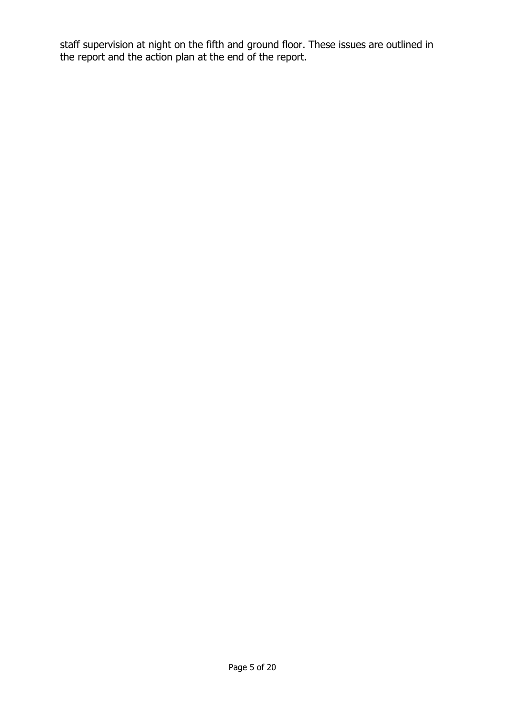staff supervision at night on the fifth and ground floor. These issues are outlined in the report and the action plan at the end of the report.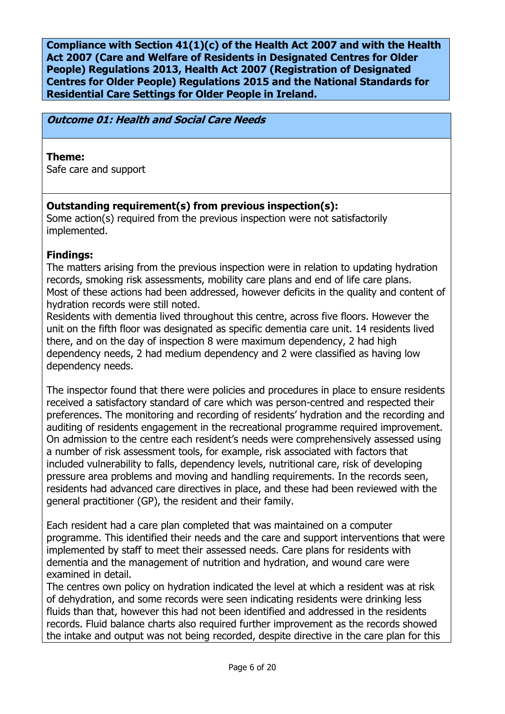**Compliance with Section 41(1)(c) of the Health Act 2007 and with the Health Act 2007 (Care and Welfare of Residents in Designated Centres for Older People) Regulations 2013, Health Act 2007 (Registration of Designated Centres for Older People) Regulations 2015 and the National Standards for Residential Care Settings for Older People in Ireland.**

**Outcome 01: Health and Social Care Needs**

### **Theme:**

Safe care and support

# **Outstanding requirement(s) from previous inspection(s):**

Some action(s) required from the previous inspection were not satisfactorily implemented.

### **Findings:**

The matters arising from the previous inspection were in relation to updating hydration records, smoking risk assessments, mobility care plans and end of life care plans. Most of these actions had been addressed, however deficits in the quality and content of hydration records were still noted.

Residents with dementia lived throughout this centre, across five floors. However the unit on the fifth floor was designated as specific dementia care unit. 14 residents lived there, and on the day of inspection 8 were maximum dependency, 2 had high dependency needs, 2 had medium dependency and 2 were classified as having low dependency needs.

The inspector found that there were policies and procedures in place to ensure residents received a satisfactory standard of care which was person-centred and respected their preferences. The monitoring and recording of residents' hydration and the recording and auditing of residents engagement in the recreational programme required improvement. On admission to the centre each resident's needs were comprehensively assessed using a number of risk assessment tools, for example, risk associated with factors that included vulnerability to falls, dependency levels, nutritional care, risk of developing pressure area problems and moving and handling requirements. In the records seen, residents had advanced care directives in place, and these had been reviewed with the general practitioner (GP), the resident and their family.

Each resident had a care plan completed that was maintained on a computer programme. This identified their needs and the care and support interventions that were implemented by staff to meet their assessed needs. Care plans for residents with dementia and the management of nutrition and hydration, and wound care were examined in detail.

The centres own policy on hydration indicated the level at which a resident was at risk of dehydration, and some records were seen indicating residents were drinking less fluids than that, however this had not been identified and addressed in the residents records. Fluid balance charts also required further improvement as the records showed the intake and output was not being recorded, despite directive in the care plan for this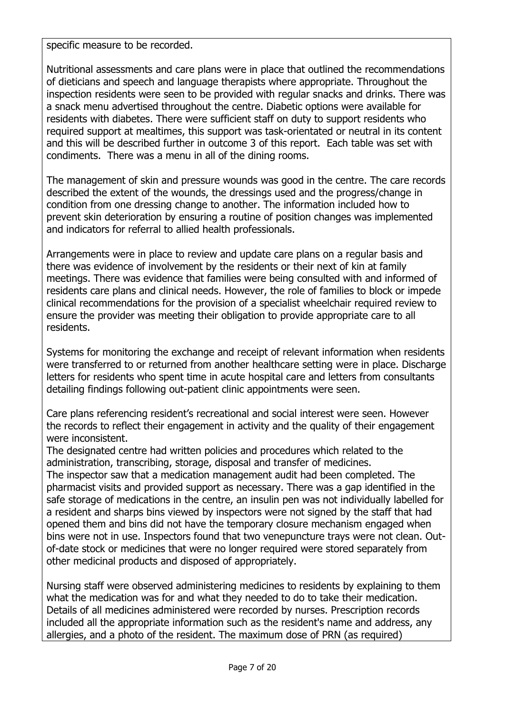specific measure to be recorded.

Nutritional assessments and care plans were in place that outlined the recommendations of dieticians and speech and language therapists where appropriate. Throughout the inspection residents were seen to be provided with regular snacks and drinks. There was a snack menu advertised throughout the centre. Diabetic options were available for residents with diabetes. There were sufficient staff on duty to support residents who required support at mealtimes, this support was task-orientated or neutral in its content and this will be described further in outcome 3 of this report. Each table was set with condiments. There was a menu in all of the dining rooms.

The management of skin and pressure wounds was good in the centre. The care records described the extent of the wounds, the dressings used and the progress/change in condition from one dressing change to another. The information included how to prevent skin deterioration by ensuring a routine of position changes was implemented and indicators for referral to allied health professionals.

Arrangements were in place to review and update care plans on a regular basis and there was evidence of involvement by the residents or their next of kin at family meetings. There was evidence that families were being consulted with and informed of residents care plans and clinical needs. However, the role of families to block or impede clinical recommendations for the provision of a specialist wheelchair required review to ensure the provider was meeting their obligation to provide appropriate care to all residents.

Systems for monitoring the exchange and receipt of relevant information when residents were transferred to or returned from another healthcare setting were in place. Discharge letters for residents who spent time in acute hospital care and letters from consultants detailing findings following out-patient clinic appointments were seen.

Care plans referencing resident's recreational and social interest were seen. However the records to reflect their engagement in activity and the quality of their engagement were inconsistent.

The designated centre had written policies and procedures which related to the administration, transcribing, storage, disposal and transfer of medicines.

The inspector saw that a medication management audit had been completed. The pharmacist visits and provided support as necessary. There was a gap identified in the safe storage of medications in the centre, an insulin pen was not individually labelled for a resident and sharps bins viewed by inspectors were not signed by the staff that had opened them and bins did not have the temporary closure mechanism engaged when bins were not in use. Inspectors found that two venepuncture trays were not clean. Outof-date stock or medicines that were no longer required were stored separately from other medicinal products and disposed of appropriately.

Nursing staff were observed administering medicines to residents by explaining to them what the medication was for and what they needed to do to take their medication. Details of all medicines administered were recorded by nurses. Prescription records included all the appropriate information such as the resident's name and address, any allergies, and a photo of the resident. The maximum dose of PRN (as required)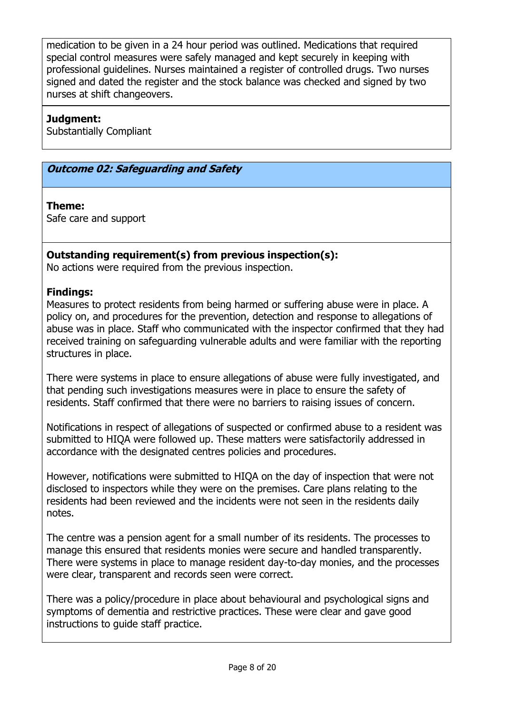medication to be given in a 24 hour period was outlined. Medications that required special control measures were safely managed and kept securely in keeping with professional guidelines. Nurses maintained a register of controlled drugs. Two nurses signed and dated the register and the stock balance was checked and signed by two nurses at shift changeovers.

### **Judgment:**

Substantially Compliant

### **Outcome 02: Safeguarding and Safety**

### **Theme:**

Safe care and support

### **Outstanding requirement(s) from previous inspection(s):**

No actions were required from the previous inspection.

### **Findings:**

Measures to protect residents from being harmed or suffering abuse were in place. A policy on, and procedures for the prevention, detection and response to allegations of abuse was in place. Staff who communicated with the inspector confirmed that they had received training on safeguarding vulnerable adults and were familiar with the reporting structures in place.

There were systems in place to ensure allegations of abuse were fully investigated, and that pending such investigations measures were in place to ensure the safety of residents. Staff confirmed that there were no barriers to raising issues of concern.

Notifications in respect of allegations of suspected or confirmed abuse to a resident was submitted to HIQA were followed up. These matters were satisfactorily addressed in accordance with the designated centres policies and procedures.

However, notifications were submitted to HIQA on the day of inspection that were not disclosed to inspectors while they were on the premises. Care plans relating to the residents had been reviewed and the incidents were not seen in the residents daily notes.

The centre was a pension agent for a small number of its residents. The processes to manage this ensured that residents monies were secure and handled transparently. There were systems in place to manage resident day-to-day monies, and the processes were clear, transparent and records seen were correct.

There was a policy/procedure in place about behavioural and psychological signs and symptoms of dementia and restrictive practices. These were clear and gave good instructions to guide staff practice.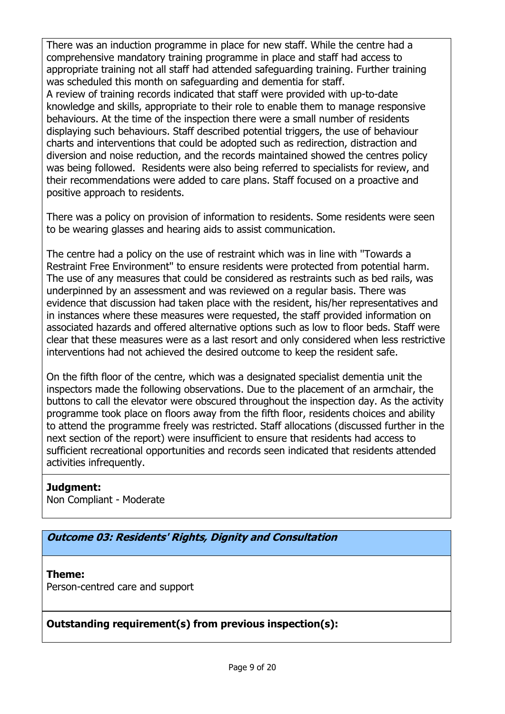There was an induction programme in place for new staff. While the centre had a comprehensive mandatory training programme in place and staff had access to appropriate training not all staff had attended safeguarding training. Further training was scheduled this month on safeguarding and dementia for staff.

A review of training records indicated that staff were provided with up-to-date knowledge and skills, appropriate to their role to enable them to manage responsive behaviours. At the time of the inspection there were a small number of residents displaying such behaviours. Staff described potential triggers, the use of behaviour charts and interventions that could be adopted such as redirection, distraction and diversion and noise reduction, and the records maintained showed the centres policy was being followed. Residents were also being referred to specialists for review, and their recommendations were added to care plans. Staff focused on a proactive and positive approach to residents.

There was a policy on provision of information to residents. Some residents were seen to be wearing glasses and hearing aids to assist communication.

The centre had a policy on the use of restraint which was in line with ''Towards a Restraint Free Environment'' to ensure residents were protected from potential harm. The use of any measures that could be considered as restraints such as bed rails, was underpinned by an assessment and was reviewed on a regular basis. There was evidence that discussion had taken place with the resident, his/her representatives and in instances where these measures were requested, the staff provided information on associated hazards and offered alternative options such as low to floor beds. Staff were clear that these measures were as a last resort and only considered when less restrictive interventions had not achieved the desired outcome to keep the resident safe.

On the fifth floor of the centre, which was a designated specialist dementia unit the inspectors made the following observations. Due to the placement of an armchair, the buttons to call the elevator were obscured throughout the inspection day. As the activity programme took place on floors away from the fifth floor, residents choices and ability to attend the programme freely was restricted. Staff allocations (discussed further in the next section of the report) were insufficient to ensure that residents had access to sufficient recreational opportunities and records seen indicated that residents attended activities infrequently.

# **Judgment:**

Non Compliant - Moderate

**Outcome 03: Residents' Rights, Dignity and Consultation**

# **Theme:**

Person-centred care and support

**Outstanding requirement(s) from previous inspection(s):**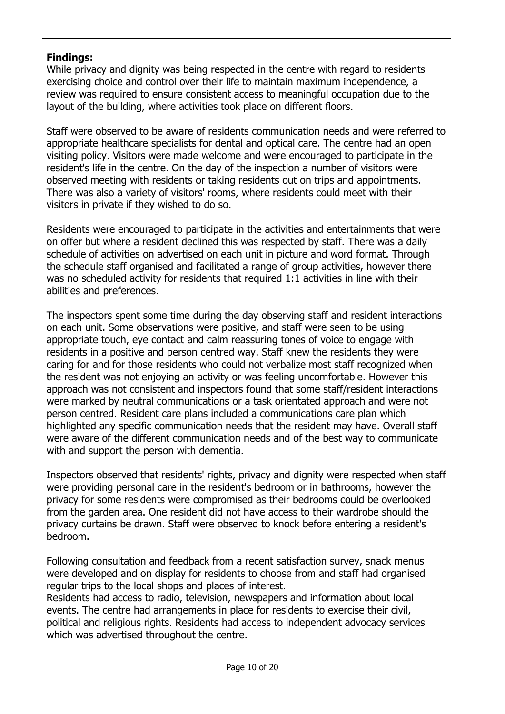# **Findings:**

While privacy and dignity was being respected in the centre with regard to residents exercising choice and control over their life to maintain maximum independence, a review was required to ensure consistent access to meaningful occupation due to the layout of the building, where activities took place on different floors.

Staff were observed to be aware of residents communication needs and were referred to appropriate healthcare specialists for dental and optical care. The centre had an open visiting policy. Visitors were made welcome and were encouraged to participate in the resident's life in the centre. On the day of the inspection a number of visitors were observed meeting with residents or taking residents out on trips and appointments. There was also a variety of visitors' rooms, where residents could meet with their visitors in private if they wished to do so.

Residents were encouraged to participate in the activities and entertainments that were on offer but where a resident declined this was respected by staff. There was a daily schedule of activities on advertised on each unit in picture and word format. Through the schedule staff organised and facilitated a range of group activities, however there was no scheduled activity for residents that required 1:1 activities in line with their abilities and preferences.

The inspectors spent some time during the day observing staff and resident interactions on each unit. Some observations were positive, and staff were seen to be using appropriate touch, eye contact and calm reassuring tones of voice to engage with residents in a positive and person centred way. Staff knew the residents they were caring for and for those residents who could not verbalize most staff recognized when the resident was not enjoying an activity or was feeling uncomfortable. However this approach was not consistent and inspectors found that some staff/resident interactions were marked by neutral communications or a task orientated approach and were not person centred. Resident care plans included a communications care plan which highlighted any specific communication needs that the resident may have. Overall staff were aware of the different communication needs and of the best way to communicate with and support the person with dementia.

Inspectors observed that residents' rights, privacy and dignity were respected when staff were providing personal care in the resident's bedroom or in bathrooms, however the privacy for some residents were compromised as their bedrooms could be overlooked from the garden area. One resident did not have access to their wardrobe should the privacy curtains be drawn. Staff were observed to knock before entering a resident's bedroom.

Following consultation and feedback from a recent satisfaction survey, snack menus were developed and on display for residents to choose from and staff had organised regular trips to the local shops and places of interest.

Residents had access to radio, television, newspapers and information about local events. The centre had arrangements in place for residents to exercise their civil, political and religious rights. Residents had access to independent advocacy services which was advertised throughout the centre.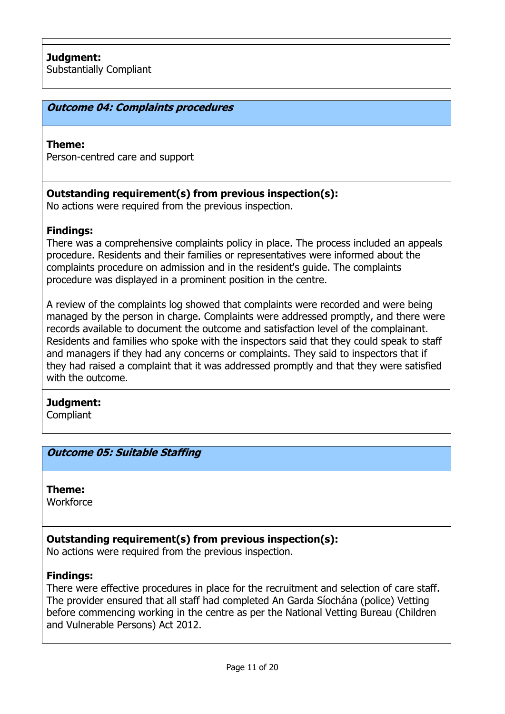### **Outcome 04: Complaints procedures**

#### **Theme:**

Person-centred care and support

#### **Outstanding requirement(s) from previous inspection(s):**

No actions were required from the previous inspection.

#### **Findings:**

There was a comprehensive complaints policy in place. The process included an appeals procedure. Residents and their families or representatives were informed about the complaints procedure on admission and in the resident's guide. The complaints procedure was displayed in a prominent position in the centre.

A review of the complaints log showed that complaints were recorded and were being managed by the person in charge. Complaints were addressed promptly, and there were records available to document the outcome and satisfaction level of the complainant. Residents and families who spoke with the inspectors said that they could speak to staff and managers if they had any concerns or complaints. They said to inspectors that if they had raised a complaint that it was addressed promptly and that they were satisfied with the outcome.

# **Judgment:**

**Compliant** 

#### **Outcome 05: Suitable Staffing**

### **Theme:**

**Workforce** 

### **Outstanding requirement(s) from previous inspection(s):**

No actions were required from the previous inspection.

### **Findings:**

There were effective procedures in place for the recruitment and selection of care staff. The provider ensured that all staff had completed An Garda Síochána (police) Vetting before commencing working in the centre as per the National Vetting Bureau (Children and Vulnerable Persons) Act 2012.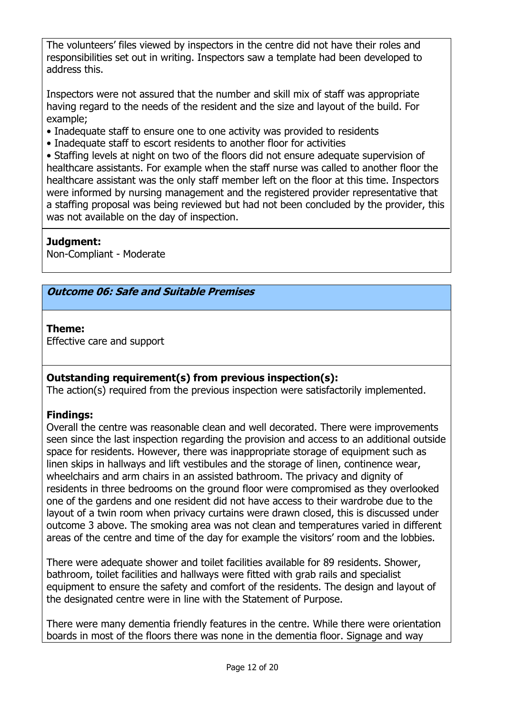The volunteers' files viewed by inspectors in the centre did not have their roles and responsibilities set out in writing. Inspectors saw a template had been developed to address this.

Inspectors were not assured that the number and skill mix of staff was appropriate having regard to the needs of the resident and the size and layout of the build. For example;

- Inadequate staff to ensure one to one activity was provided to residents
- Inadequate staff to escort residents to another floor for activities

• Staffing levels at night on two of the floors did not ensure adequate supervision of healthcare assistants. For example when the staff nurse was called to another floor the healthcare assistant was the only staff member left on the floor at this time. Inspectors were informed by nursing management and the registered provider representative that a staffing proposal was being reviewed but had not been concluded by the provider, this was not available on the day of inspection.

# **Judgment:**

Non-Compliant - Moderate

### **Outcome 06: Safe and Suitable Premises**

### **Theme:**

Effective care and support

# **Outstanding requirement(s) from previous inspection(s):**

The action(s) required from the previous inspection were satisfactorily implemented.

# **Findings:**

Overall the centre was reasonable clean and well decorated. There were improvements seen since the last inspection regarding the provision and access to an additional outside space for residents. However, there was inappropriate storage of equipment such as linen skips in hallways and lift vestibules and the storage of linen, continence wear, wheelchairs and arm chairs in an assisted bathroom. The privacy and dignity of residents in three bedrooms on the ground floor were compromised as they overlooked one of the gardens and one resident did not have access to their wardrobe due to the layout of a twin room when privacy curtains were drawn closed, this is discussed under outcome 3 above. The smoking area was not clean and temperatures varied in different areas of the centre and time of the day for example the visitors' room and the lobbies.

There were adequate shower and toilet facilities available for 89 residents. Shower, bathroom, toilet facilities and hallways were fitted with grab rails and specialist equipment to ensure the safety and comfort of the residents. The design and layout of the designated centre were in line with the Statement of Purpose.

There were many dementia friendly features in the centre. While there were orientation boards in most of the floors there was none in the dementia floor. Signage and way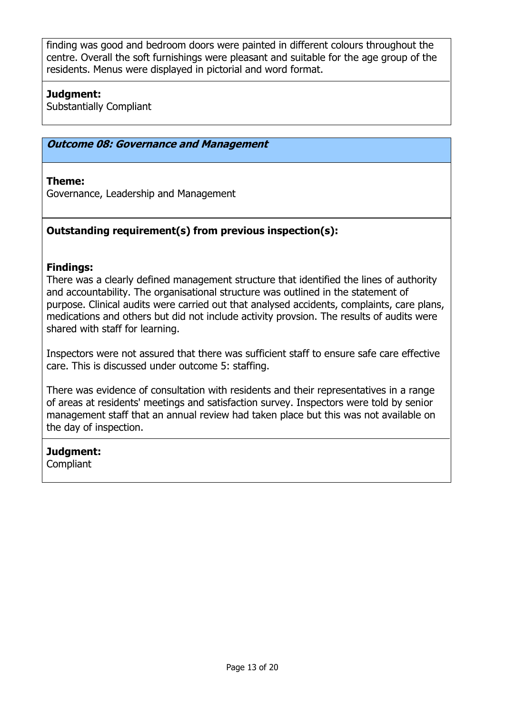finding was good and bedroom doors were painted in different colours throughout the centre. Overall the soft furnishings were pleasant and suitable for the age group of the residents. Menus were displayed in pictorial and word format.

# **Judgment:**

Substantially Compliant

### **Outcome 08: Governance and Management**

### **Theme:**

Governance, Leadership and Management

### **Outstanding requirement(s) from previous inspection(s):**

### **Findings:**

There was a clearly defined management structure that identified the lines of authority and accountability. The organisational structure was outlined in the statement of purpose. Clinical audits were carried out that analysed accidents, complaints, care plans, medications and others but did not include activity provsion. The results of audits were shared with staff for learning.

Inspectors were not assured that there was sufficient staff to ensure safe care effective care. This is discussed under outcome 5: staffing.

There was evidence of consultation with residents and their representatives in a range of areas at residents' meetings and satisfaction survey. Inspectors were told by senior management staff that an annual review had taken place but this was not available on the day of inspection.

### **Judgment:**

**Compliant**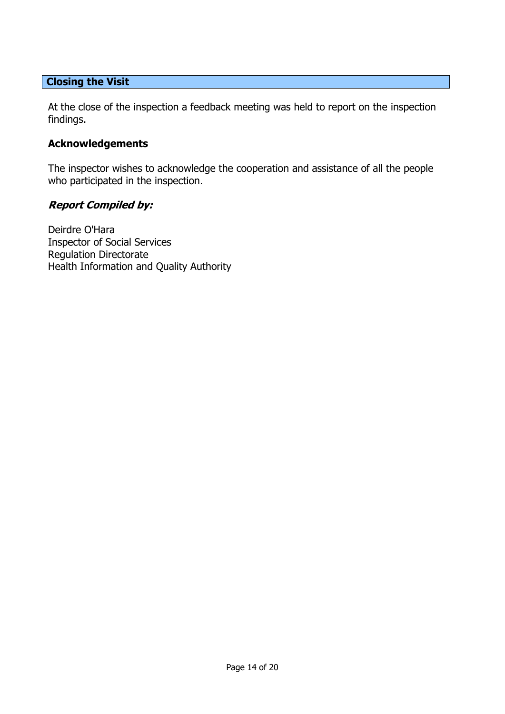# **Closing the Visit**

At the close of the inspection a feedback meeting was held to report on the inspection findings.

### **Acknowledgements**

The inspector wishes to acknowledge the cooperation and assistance of all the people who participated in the inspection.

### **Report Compiled by:**

Deirdre O'Hara Inspector of Social Services Regulation Directorate Health Information and Quality Authority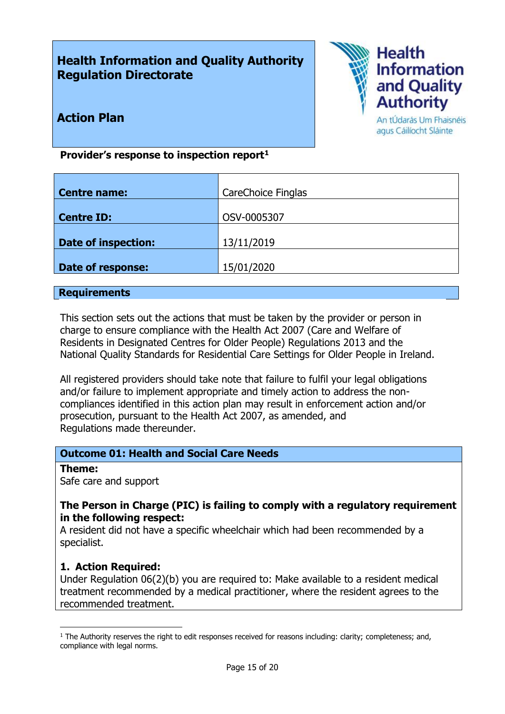# **Health Information and Quality Authority Regulation Directorate**



**Action Plan**

#### An tÚdarás Um Fhaisnéis agus Cáilíocht Sláinte

# **Provider's response to inspection report<sup>1</sup>**

| <b>Centre name:</b>        | CareChoice Finglas |
|----------------------------|--------------------|
|                            |                    |
| <b>Centre ID:</b>          | OSV-0005307        |
|                            |                    |
| <b>Date of inspection:</b> | 13/11/2019         |
|                            |                    |
| <b>Date of response:</b>   | 15/01/2020         |
|                            |                    |

#### **Requirements**

This section sets out the actions that must be taken by the provider or person in charge to ensure compliance with the Health Act 2007 (Care and Welfare of Residents in Designated Centres for Older People) Regulations 2013 and the National Quality Standards for Residential Care Settings for Older People in Ireland.

All registered providers should take note that failure to fulfil your legal obligations and/or failure to implement appropriate and timely action to address the noncompliances identified in this action plan may result in enforcement action and/or prosecution, pursuant to the Health Act 2007, as amended, and Regulations made thereunder.

### **Outcome 01: Health and Social Care Needs**

**Theme:** 

 $\overline{a}$ 

Safe care and support

#### **The Person in Charge (PIC) is failing to comply with a regulatory requirement in the following respect:**

A resident did not have a specific wheelchair which had been recommended by a specialist.

### **1. Action Required:**

Under Regulation 06(2)(b) you are required to: Make available to a resident medical treatment recommended by a medical practitioner, where the resident agrees to the recommended treatment.

 $1$  The Authority reserves the right to edit responses received for reasons including: clarity; completeness; and, compliance with legal norms.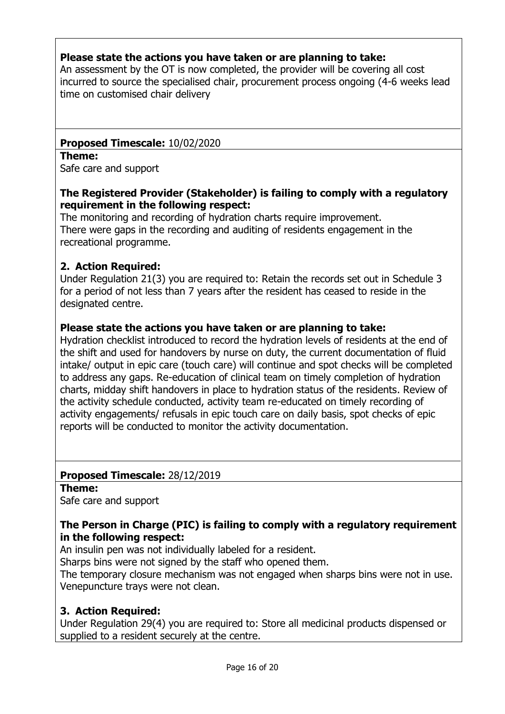# **Please state the actions you have taken or are planning to take:**

An assessment by the OT is now completed, the provider will be covering all cost incurred to source the specialised chair, procurement process ongoing (4-6 weeks lead time on customised chair delivery

# **Proposed Timescale:** 10/02/2020

**Theme:** 

Safe care and support

### **The Registered Provider (Stakeholder) is failing to comply with a regulatory requirement in the following respect:**

The monitoring and recording of hydration charts require improvement. There were gaps in the recording and auditing of residents engagement in the recreational programme.

# **2. Action Required:**

Under Regulation 21(3) you are required to: Retain the records set out in Schedule 3 for a period of not less than 7 years after the resident has ceased to reside in the designated centre.

### **Please state the actions you have taken or are planning to take:**

Hydration checklist introduced to record the hydration levels of residents at the end of the shift and used for handovers by nurse on duty, the current documentation of fluid intake/ output in epic care (touch care) will continue and spot checks will be completed to address any gaps. Re-education of clinical team on timely completion of hydration charts, midday shift handovers in place to hydration status of the residents. Review of the activity schedule conducted, activity team re-educated on timely recording of activity engagements/ refusals in epic touch care on daily basis, spot checks of epic reports will be conducted to monitor the activity documentation.

### **Proposed Timescale:** 28/12/2019

**Theme:** 

Safe care and support

### **The Person in Charge (PIC) is failing to comply with a regulatory requirement in the following respect:**

An insulin pen was not individually labeled for a resident.

Sharps bins were not signed by the staff who opened them.

The temporary closure mechanism was not engaged when sharps bins were not in use. Venepuncture trays were not clean.

# **3. Action Required:**

Under Regulation 29(4) you are required to: Store all medicinal products dispensed or supplied to a resident securely at the centre.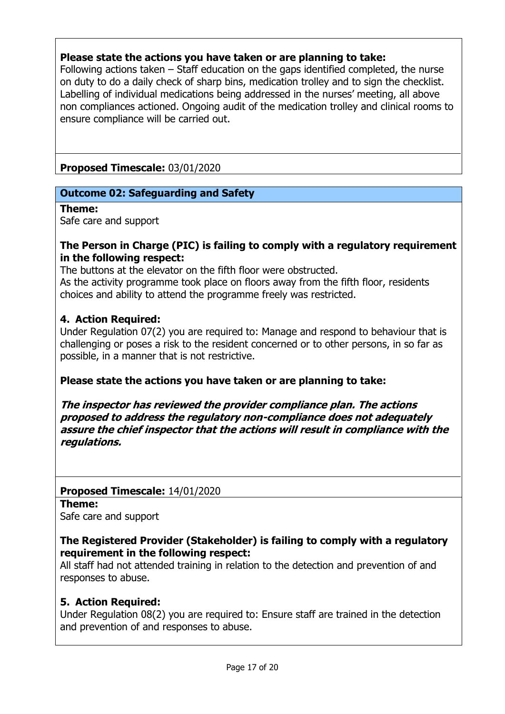# **Please state the actions you have taken or are planning to take:**

Following actions taken – Staff education on the gaps identified completed, the nurse on duty to do a daily check of sharp bins, medication trolley and to sign the checklist. Labelling of individual medications being addressed in the nurses' meeting, all above non compliances actioned. Ongoing audit of the medication trolley and clinical rooms to ensure compliance will be carried out.

**Proposed Timescale:** 03/01/2020

### **Outcome 02: Safeguarding and Safety**

**Theme:** 

Safe care and support

#### **The Person in Charge (PIC) is failing to comply with a regulatory requirement in the following respect:**

The buttons at the elevator on the fifth floor were obstructed. As the activity programme took place on floors away from the fifth floor, residents choices and ability to attend the programme freely was restricted.

#### **4. Action Required:**

Under Regulation 07(2) you are required to: Manage and respond to behaviour that is challenging or poses a risk to the resident concerned or to other persons, in so far as possible, in a manner that is not restrictive.

**Please state the actions you have taken or are planning to take:** 

**The inspector has reviewed the provider compliance plan. The actions proposed to address the regulatory non-compliance does not adequately assure the chief inspector that the actions will result in compliance with the regulations.**

**Proposed Timescale:** 14/01/2020

**Theme:** 

Safe care and support

### **The Registered Provider (Stakeholder) is failing to comply with a regulatory requirement in the following respect:**

All staff had not attended training in relation to the detection and prevention of and responses to abuse.

### **5. Action Required:**

Under Regulation 08(2) you are required to: Ensure staff are trained in the detection and prevention of and responses to abuse.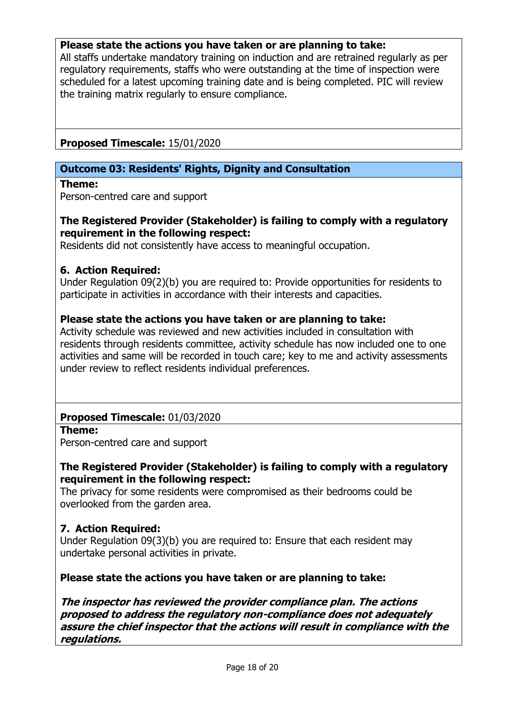### **Please state the actions you have taken or are planning to take:**

All staffs undertake mandatory training on induction and are retrained regularly as per regulatory requirements, staffs who were outstanding at the time of inspection were scheduled for a latest upcoming training date and is being completed. PIC will review the training matrix regularly to ensure compliance.

### **Proposed Timescale:** 15/01/2020

### **Outcome 03: Residents' Rights, Dignity and Consultation**

**Theme:** 

Person-centred care and support

### **The Registered Provider (Stakeholder) is failing to comply with a regulatory requirement in the following respect:**

Residents did not consistently have access to meaningful occupation.

#### **6. Action Required:**

Under Regulation 09(2)(b) you are required to: Provide opportunities for residents to participate in activities in accordance with their interests and capacities.

### **Please state the actions you have taken or are planning to take:**

Activity schedule was reviewed and new activities included in consultation with residents through residents committee, activity schedule has now included one to one activities and same will be recorded in touch care; key to me and activity assessments under review to reflect residents individual preferences.

### **Proposed Timescale:** 01/03/2020

**Theme:**  Person-centred care and support

### **The Registered Provider (Stakeholder) is failing to comply with a regulatory requirement in the following respect:**

The privacy for some residents were compromised as their bedrooms could be overlooked from the garden area.

### **7. Action Required:**

Under Regulation 09(3)(b) you are required to: Ensure that each resident may undertake personal activities in private.

### **Please state the actions you have taken or are planning to take:**

**The inspector has reviewed the provider compliance plan. The actions proposed to address the regulatory non-compliance does not adequately assure the chief inspector that the actions will result in compliance with the regulations.**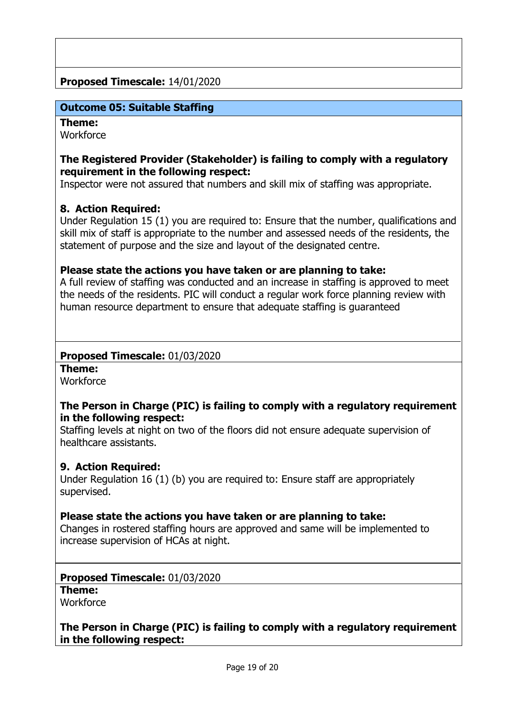### **Proposed Timescale:** 14/01/2020

### **Outcome 05: Suitable Staffing**

#### **Theme:**

**Workforce** 

### **The Registered Provider (Stakeholder) is failing to comply with a regulatory requirement in the following respect:**

Inspector were not assured that numbers and skill mix of staffing was appropriate.

### **8. Action Required:**

Under Regulation 15 (1) you are required to: Ensure that the number, qualifications and skill mix of staff is appropriate to the number and assessed needs of the residents, the statement of purpose and the size and layout of the designated centre.

#### **Please state the actions you have taken or are planning to take:**

A full review of staffing was conducted and an increase in staffing is approved to meet the needs of the residents. PIC will conduct a regular work force planning review with human resource department to ensure that adequate staffing is guaranteed

#### **Proposed Timescale:** 01/03/2020

**Theme: Workforce** 

### **The Person in Charge (PIC) is failing to comply with a regulatory requirement in the following respect:**

Staffing levels at night on two of the floors did not ensure adequate supervision of healthcare assistants.

### **9. Action Required:**

Under Regulation 16 (1) (b) you are required to: Ensure staff are appropriately supervised.

### **Please state the actions you have taken or are planning to take:**

Changes in rostered staffing hours are approved and same will be implemented to increase supervision of HCAs at night.

#### **Proposed Timescale:** 01/03/2020

**Theme:** 

**Workforce** 

### **The Person in Charge (PIC) is failing to comply with a regulatory requirement in the following respect:**